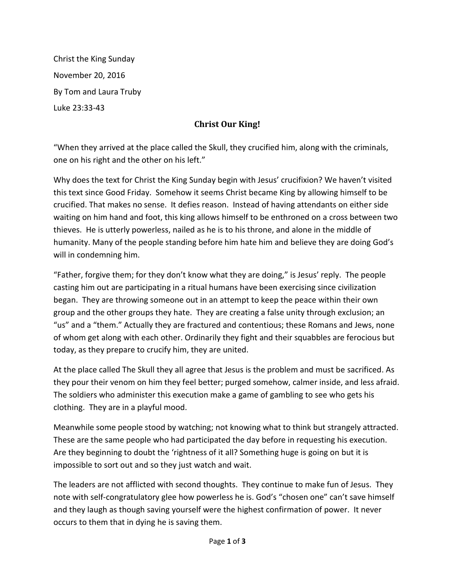Christ the King Sunday November 20, 2016 By Tom and Laura Truby Luke 23:33-43

## **Christ Our King!**

"When they arrived at the place called the Skull, they crucified him, along with the criminals, one on his right and the other on his left."

Why does the text for Christ the King Sunday begin with Jesus' crucifixion? We haven't visited this text since Good Friday. Somehow it seems Christ became King by allowing himself to be crucified. That makes no sense. It defies reason. Instead of having attendants on either side waiting on him hand and foot, this king allows himself to be enthroned on a cross between two thieves. He is utterly powerless, nailed as he is to his throne, and alone in the middle of humanity. Many of the people standing before him hate him and believe they are doing God's will in condemning him.

"Father, forgive them; for they don't know what they are doing," is Jesus' reply. The people casting him out are participating in a ritual humans have been exercising since civilization began. They are throwing someone out in an attempt to keep the peace within their own group and the other groups they hate. They are creating a false unity through exclusion; an "us" and a "them." Actually they are fractured and contentious; these Romans and Jews, none of whom get along with each other. Ordinarily they fight and their squabbles are ferocious but today, as they prepare to crucify him, they are united.

At the place called The Skull they all agree that Jesus is the problem and must be sacrificed. As they pour their venom on him they feel better; purged somehow, calmer inside, and less afraid. The soldiers who administer this execution make a game of gambling to see who gets his clothing. They are in a playful mood.

Meanwhile some people stood by watching; not knowing what to think but strangely attracted. These are the same people who had participated the day before in requesting his execution. Are they beginning to doubt the 'rightness of it all? Something huge is going on but it is impossible to sort out and so they just watch and wait.

The leaders are not afflicted with second thoughts. They continue to make fun of Jesus. They note with self-congratulatory glee how powerless he is. God's "chosen one" can't save himself and they laugh as though saving yourself were the highest confirmation of power. It never occurs to them that in dying he is saving them.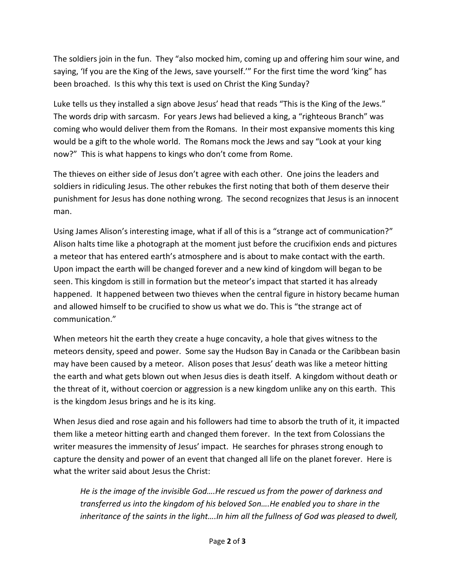The soldiers join in the fun. They "also mocked him, coming up and offering him sour wine, and saying, 'If you are the King of the Jews, save yourself.'" For the first time the word 'king" has been broached. Is this why this text is used on Christ the King Sunday?

Luke tells us they installed a sign above Jesus' head that reads "This is the King of the Jews." The words drip with sarcasm. For years Jews had believed a king, a "righteous Branch" was coming who would deliver them from the Romans. In their most expansive moments this king would be a gift to the whole world. The Romans mock the Jews and say "Look at your king now?" This is what happens to kings who don't come from Rome.

The thieves on either side of Jesus don't agree with each other. One joins the leaders and soldiers in ridiculing Jesus. The other rebukes the first noting that both of them deserve their punishment for Jesus has done nothing wrong. The second recognizes that Jesus is an innocent man.

Using James Alison's interesting image, what if all of this is a "strange act of communication?" Alison halts time like a photograph at the moment just before the crucifixion ends and pictures a meteor that has entered earth's atmosphere and is about to make contact with the earth. Upon impact the earth will be changed forever and a new kind of kingdom will began to be seen. This kingdom is still in formation but the meteor's impact that started it has already happened. It happened between two thieves when the central figure in history became human and allowed himself to be crucified to show us what we do. This is "the strange act of communication."

When meteors hit the earth they create a huge concavity, a hole that gives witness to the meteors density, speed and power. Some say the Hudson Bay in Canada or the Caribbean basin may have been caused by a meteor. Alison poses that Jesus' death was like a meteor hitting the earth and what gets blown out when Jesus dies is death itself. A kingdom without death or the threat of it, without coercion or aggression is a new kingdom unlike any on this earth. This is the kingdom Jesus brings and he is its king.

When Jesus died and rose again and his followers had time to absorb the truth of it, it impacted them like a meteor hitting earth and changed them forever. In the text from Colossians the writer measures the immensity of Jesus' impact. He searches for phrases strong enough to capture the density and power of an event that changed all life on the planet forever. Here is what the writer said about Jesus the Christ:

*He is the image of the invisible God….He rescued us from the power of darkness and transferred us into the kingdom of his beloved Son….He enabled you to share in the inheritance of the saints in the light….In him all the fullness of God was pleased to dwell,*